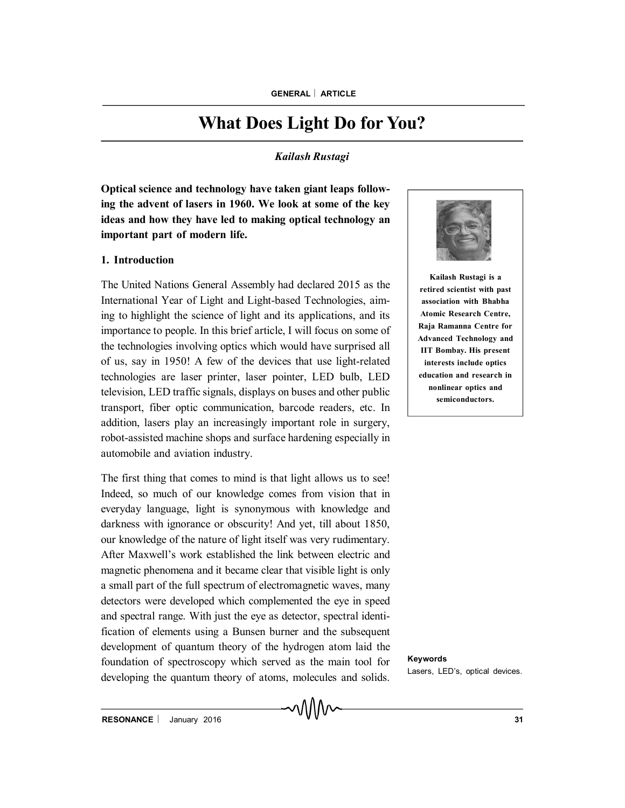# **What Does Light Do for You?**

# *Kailash Rustagi*

**Optical science and technology have taken giant leaps following the advent of lasers in 1960. We look at some of the key ideas and how they have led to making optical technology an important part of modern life.**

#### **1. Introduction**

The United Nations General Assembly had declared 2015 as the International Year of Light and Light-based Technologies, aiming to highlight the science of light and its applications, and its importance to people. In this brief article, I will focus on some of the technologies involving optics which would have surprised all of us, say in 1950! A few of the devices that use light-related technologies are laser printer, laser pointer, LED bulb, LED television, LED traffic signals, displays on buses and other public transport, fiber optic communication, barcode readers, etc. In addition, lasers play an increasingly important role in surgery, robot-assisted machine shops and surface hardening especially in automobile and aviation industry.

The first thing that comes to mind is that light allows us to see! Indeed, so much of our knowledge comes from vision that in everyday language, light is synonymous with knowledge and darkness with ignorance or obscurity! And yet, till about 1850, our knowledge of the nature of light itself was very rudimentary. After Maxwell's work established the link between electric and magnetic phenomena and it became clear that visible light is only a small part of the full spectrum of electromagnetic waves, many detectors were developed which complemented the eye in speed and spectral range. With just the eye as detector, spectral identification of elements using a Bunsen burner and the subsequent development of quantum theory of the hydrogen atom laid the foundation of spectroscopy which served as the main tool for developing the quantum theory of atoms, molecules and solids.



**Kailash Rustagi is a retired scientist with past association with Bhabha Atomic Research Centre, Raja Ramanna Centre for Advanced Technology and IIT Bombay. His present interests include optics education and research in nonlinear optics and semiconductors.**

**Keywords** Lasers, LED's, optical devices.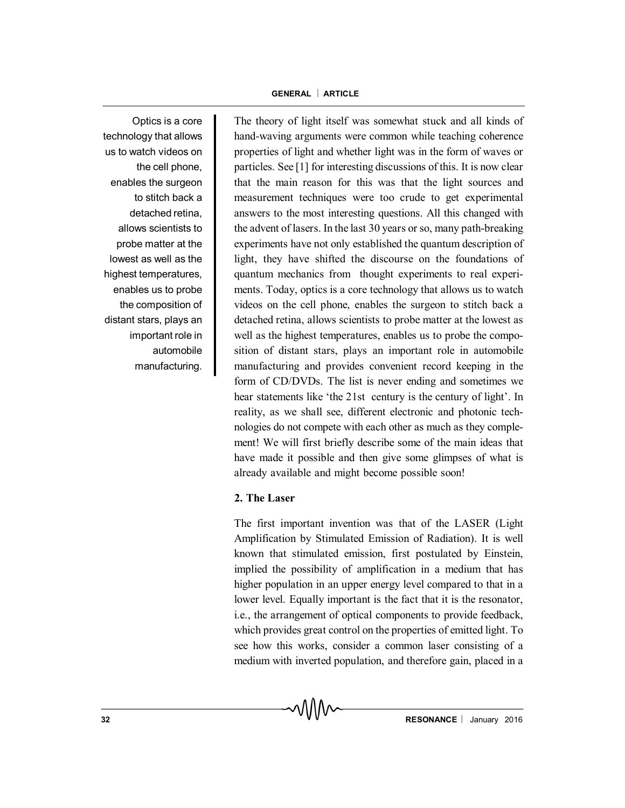Optics is a core technology that allows us to watch videos on the cell phone, enables the surgeon to stitch back a detached retina, allows scientists to probe matter at the lowest as well as the highest temperatures, enables us to probe the composition of distant stars, plays an important role in automobile manufacturing.

The theory of light itself was somewhat stuck and all kinds of hand-waving arguments were common while teaching coherence properties of light and whether light was in the form of waves or particles. See [1] for interesting discussions of this. It is now clear that the main reason for this was that the light sources and measurement techniques were too crude to get experimental answers to the most interesting questions. All this changed with the advent of lasers. In the last 30 years or so, many path-breaking experiments have not only established the quantum description of light, they have shifted the discourse on the foundations of quantum mechanics from thought experiments to real experiments. Today, optics is a core technology that allows us to watch videos on the cell phone, enables the surgeon to stitch back a detached retina, allows scientists to probe matter at the lowest as well as the highest temperatures, enables us to probe the composition of distant stars, plays an important role in automobile manufacturing and provides convenient record keeping in the form of CD/DVDs. The list is never ending and sometimes we hear statements like 'the 21st century is the century of light'. In reality, as we shall see, different electronic and photonic technologies do not compete with each other as much as they complement! We will first briefly describe some of the main ideas that have made it possible and then give some glimpses of what is already available and might become possible soon!

# **2. The Laser**

The first important invention was that of the LASER (Light Amplification by Stimulated Emission of Radiation). It is well known that stimulated emission, first postulated by Einstein, implied the possibility of amplification in a medium that has higher population in an upper energy level compared to that in a lower level. Equally important is the fact that it is the resonator, i.e., the arrangement of optical components to provide feedback, which provides great control on the properties of emitted light. To see how this works, consider a common laser consisting of a medium with inverted population, and therefore gain, placed in a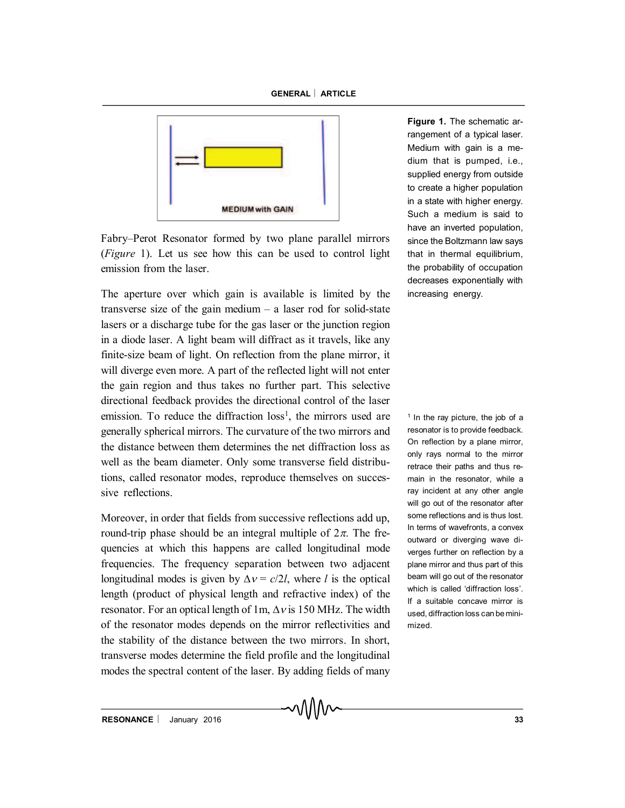

Fabry–Perot Resonator formed by two plane parallel mirrors (*Figure* 1). Let us see how this can be used to control light emission from the laser.

The aperture over which gain is available is limited by the transverse size of the gain medium  $-$  a laser rod for solid-state lasers or a discharge tube for the gas laser or the junction region in a diode laser. A light beam will diffract as it travels, like any finite-size beam of light. On reflection from the plane mirror, it will diverge even more. A part of the reflected light will not enter the gain region and thus takes no further part. This selective directional feedback provides the directional control of the laser emission. To reduce the diffraction loss<sup>1</sup>, the mirrors used are generally spherical mirrors. The curvature of the two mirrors and the distance between them determines the net diffraction loss as well as the beam diameter. Only some transverse field distributions, called resonator modes, reproduce themselves on successive reflections.

Moreover, in order that fields from successive reflections add up, round-trip phase should be an integral multiple of  $2\pi$ . The frequencies at which this happens are called longitudinal mode frequencies. The frequency separation between two adjacent longitudinal modes is given by  $\Delta v = c/2l$ , where *l* is the optical length (product of physical length and refractive index) of the resonator. For an optical length of 1m,  $\Delta v$  is 150 MHz. The width of the resonator modes depends on the mirror reflectivities and the stability of the distance between the two mirrors. In short, transverse modes determine the field profile and the longitudinal modes the spectral content of the laser. By adding fields of many

**Figure 1.** The schematic arrangement of a typical laser. Medium with gain is a medium that is pumped, i.e., supplied energy from outside to create a higher population in a state with higher energy. Such a medium is said to have an inverted population, since the Boltzmann law says that in thermal equilibrium, the probability of occupation decreases exponentially with increasing energy.

<sup>1</sup> In the ray picture, the job of a resonator is to provide feedback. On reflection by a plane mirror, only rays normal to the mirror retrace their paths and thus remain in the resonator, while a ray incident at any other angle will go out of the resonator after some reflections and is thus lost. In terms of wavefronts, a convex outward or diverging wave diverges further on reflection by a plane mirror and thus part of this beam will go out of the resonator which is called 'diffraction loss'. If a suitable concave mirror is used, diffraction loss can be minimized.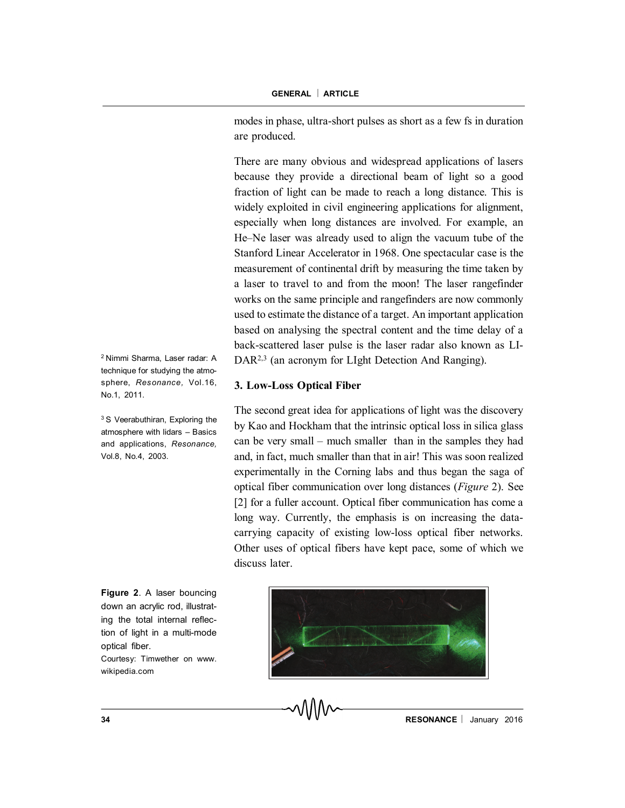modes in phase, ultra-short pulses as short as a few fs in duration are produced.

There are many obvious and widespread applications of lasers because they provide a directional beam of light so a good fraction of light can be made to reach a long distance. This is widely exploited in civil engineering applications for alignment, especially when long distances are involved. For example, an He–Ne laser was already used to align the vacuum tube of the Stanford Linear Accelerator in 1968. One spectacular case is the measurement of continental drift by measuring the time taken by a laser to travel to and from the moon! The laser rangefinder works on the same principle and rangefinders are now commonly used to estimate the distance of a target. An important application based on analysing the spectral content and the time delay of a back-scattered laser pulse is the laser radar also known as LI-DAR<sup>2,3</sup> (an acronym for LIght Detection And Ranging).

### **3. Low-Loss Optical Fiber**

The second great idea for applications of light was the discovery by Kao and Hockham that the intrinsic optical loss in silica glass can be very small – much smaller than in the samples they had and, in fact, much smaller than that in air! This was soon realized experimentally in the Corning labs and thus began the saga of optical fiber communication over long distances (*Figure* 2). See [2] for a fuller account. Optical fiber communication has come a long way. Currently, the emphasis is on increasing the datacarrying capacity of existing low-loss optical fiber networks. Other uses of optical fibers have kept pace, some of which we discuss later.



<sup>2</sup> Nimmi Sharma, Laser radar: A technique for studying the atmosphere, *Resonance,* Vol.16, No.1, 2011.

<sup>3</sup> S Veerabuthiran, Exploring the atmosphere with lidars – Basics and applications, *Resonance,* Vol.8, No.4, 2003.

**Figure 2**. A laser bouncing down an acrylic rod, illustrating the total internal reflection of light in a multi-mode optical fiber.

Courtesy: Timwether on www. wikipedia.com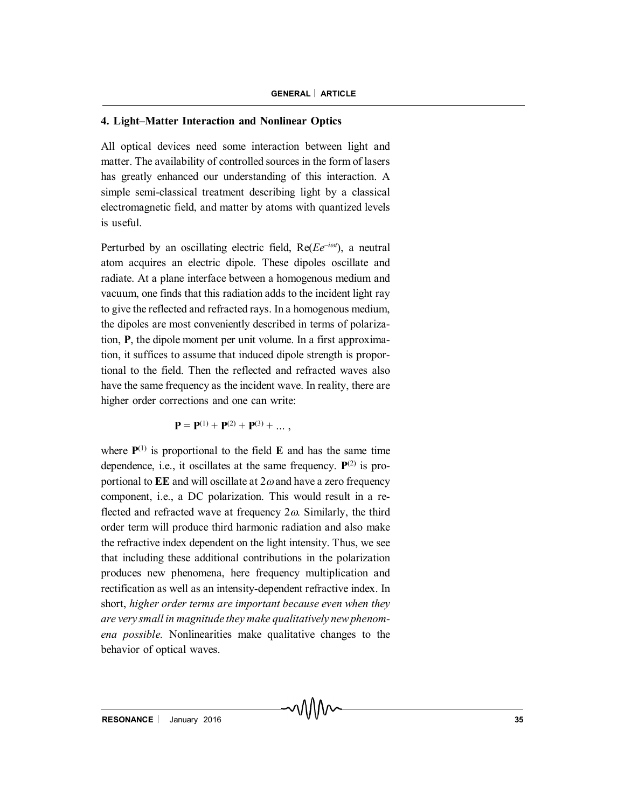#### **4. Light–Matter Interaction and Nonlinear Optics**

All optical devices need some interaction between light and matter. The availability of controlled sources in the form of lasers has greatly enhanced our understanding of this interaction. A simple semi-classical treatment describing light by a classical electromagnetic field, and matter by atoms with quantized levels is useful.

Perturbed by an oscillating electric field, Re(*Ee<sup>-iot*</sup>), a neutral atom acquires an electric dipole. These dipoles oscillate and radiate. At a plane interface between a homogenous medium and vacuum, one finds that this radiation adds to the incident light ray to give the reflected and refracted rays. In a homogenous medium, the dipoles are most conveniently described in terms of polarization, **P**, the dipole moment per unit volume. In a first approximation, it suffices to assume that induced dipole strength is proportional to the field. Then the reflected and refracted waves also have the same frequency as the incident wave. In reality, there are higher order corrections and one can write:

$$
\mathbf{P} = \mathbf{P}^{(1)} + \mathbf{P}^{(2)} + \mathbf{P}^{(3)} + \dots,
$$

where  $P^{(1)}$  is proportional to the field  $E$  and has the same time dependence, i.e., it oscillates at the same frequency.  $P^{(2)}$  is proportional to  $EE$  and will oscillate at  $2\omega$  and have a zero frequency component, i.e., a DC polarization. This would result in a reflected and refracted wave at frequency  $2\omega$ . Similarly, the third order term will produce third harmonic radiation and also make the refractive index dependent on the light intensity. Thus, we see that including these additional contributions in the polarization produces new phenomena, here frequency multiplication and rectification as well as an intensity-dependent refractive index. In short, *higher order terms are important because even when they are very small in magnitude they make qualitatively new phenomena possible.* Nonlinearities make qualitative changes to the behavior of optical waves.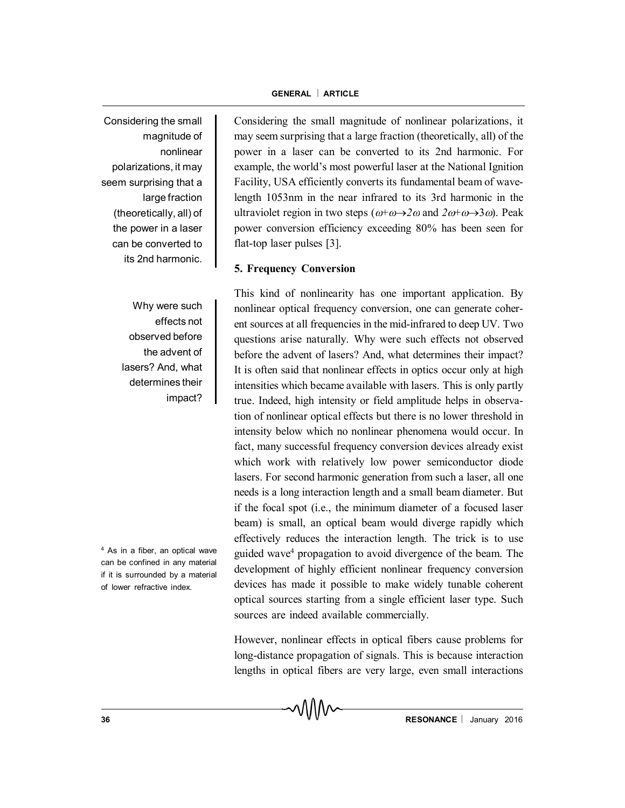Considering the small magnitude of nonlinear polarizations, it may seem surprising that a large fraction (theoretically, all) of the power in a laser can be converted to its 2nd harmonic.

> Why were such effects not observed before the advent of lasers? And, what determines their impact?

<sup>4</sup> As in a fiber, an optical wave can be confined in any material if it is surrounded by a material of lower refractive index.

Considering the small magnitude of nonlinear polarizations, it may seem surprising that a large fraction (theoretically, all) of the power in a laser can be converted to its 2nd harmonic. For example, the world's most powerful laser at the National Ignition Facility, USA efficiently converts its fundamental beam of wavelength 1053nm in the near infrared to its 3rd harmonic in the ultraviolet region in two steps  $(\omega + \omega \rightarrow 2\omega$  and  $2\omega + \omega \rightarrow 3\omega$ ). Peak power conversion efficiency exceeding 80% has been seen for flat-top laser pulses [3].

# **5. Frequency Conversion**

This kind of nonlinearity has one important application. By nonlinear optical frequency conversion, one can generate coherent sources at all frequencies in the mid-infrared to deep UV. Two questions arise naturally. Why were such effects not observed before the advent of lasers? And, what determines their impact? It is often said that nonlinear effects in optics occur only at high intensities which became available with lasers. This is only partly true. Indeed, high intensity or field amplitude helps in observation of nonlinear optical effects but there is no lower threshold in intensity below which no nonlinear phenomena would occur. In fact, many successful frequency conversion devices already exist which work with relatively low power semiconductor diode lasers. For second harmonic generation from such a laser, all one needs is a long interaction length and a small beam diameter. But if the focal spot (i.e., the minimum diameter of a focused laser beam) is small, an optical beam would diverge rapidly which effectively reduces the interaction length. The trick is to use guided wave<sup>4</sup> propagation to avoid divergence of the beam. The development of highly efficient nonlinear frequency conversion devices has made it possible to make widely tunable coherent optical sources starting from a single efficient laser type. Such sources are indeed available commercially.

However, nonlinear effects in optical fibers cause problems for long-distance propagation of signals. This is because interaction lengths in optical fibers are very large, even small interactions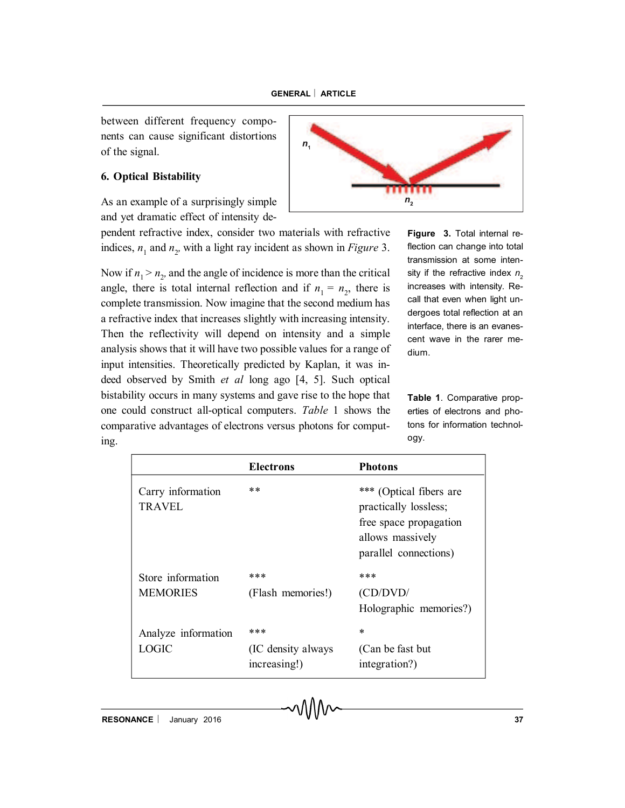between different frequency components can cause significant distortions of the signal.

# **6. Optical Bistability**

As an example of a surprisingly simple and yet dramatic effect of intensity de-

pendent refractive index, consider two materials with refractive indices,  $n_1$  and  $n_2$ , with a light ray incident as shown in *Figure* 3.

Now if  $n_1 > n_2$ , and the angle of incidence is more than the critical angle, there is total internal reflection and if  $n_1 = n_2$ , there is complete transmission. Now imagine that the second medium has a refractive index that increases slightly with increasing intensity. Then the reflectivity will depend on intensity and a simple analysis shows that it will have two possible values for a range of input intensities. Theoretically predicted by Kaplan, it was indeed observed by Smith *et al* long ago [4, 5]. Such optical bistability occurs in many systems and gave rise to the hope that one could construct all-optical computers. *Table* 1 shows the comparative advantages of electrons versus photons for computing.

**Figure 3.** Total internal reflection can change into total transmission at some intensity if the refractive index  $n<sub>2</sub>$ increases with intensity. Recall that even when light undergoes total reflection at an interface, there is an evanescent wave in the rarer medium.

**Table 1**. Comparative properties of electrons and photons for information technology.

|                                    | <b>Electrons</b>                   | <b>Photons</b>                                                                                                          |
|------------------------------------|------------------------------------|-------------------------------------------------------------------------------------------------------------------------|
| Carry information<br><b>TRAVEL</b> | $**$                               | *** (Optical fibers are<br>practically lossless;<br>free space propagation<br>allows massively<br>parallel connections) |
| Store information                  | ***                                | ***                                                                                                                     |
| <b>MEMORIES</b>                    | (Flash memories!)                  | (CD/DVD/                                                                                                                |
|                                    |                                    | Holographic memories?)                                                                                                  |
| Analyze information                | ***                                | *                                                                                                                       |
| LOGIC                              | (IC density always<br>increasing!) | (Can be fast but)<br>integration?)                                                                                      |

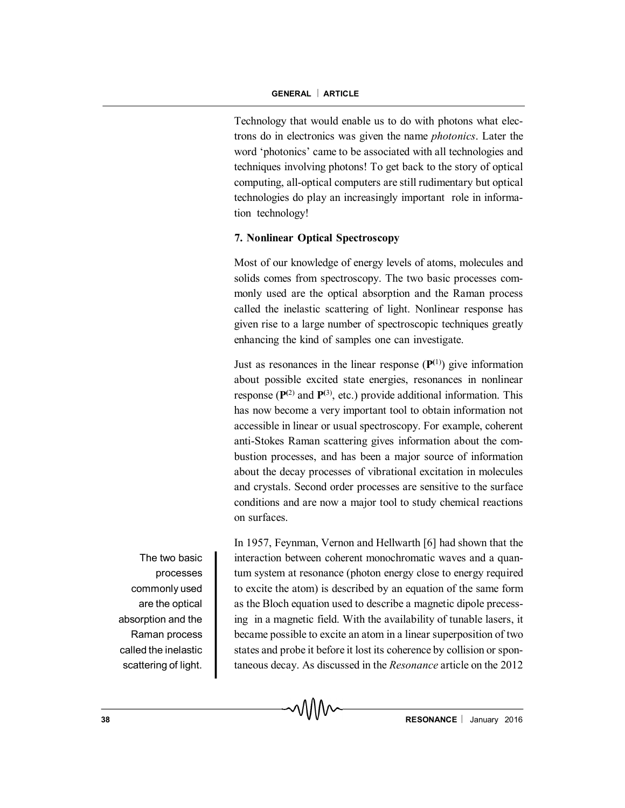Technology that would enable us to do with photons what electrons do in electronics was given the name *photonics*. Later the word 'photonics' came to be associated with all technologies and techniques involving photons! To get back to the story of optical computing, all-optical computers are still rudimentary but optical technologies do play an increasingly important role in information technology!

### **7. Nonlinear Optical Spectroscopy**

Most of our knowledge of energy levels of atoms, molecules and solids comes from spectroscopy. The two basic processes commonly used are the optical absorption and the Raman process called the inelastic scattering of light. Nonlinear response has given rise to a large number of spectroscopic techniques greatly enhancing the kind of samples one can investigate.

Just as resonances in the linear response  $(P<sup>(1)</sup>)$  give information about possible excited state energies, resonances in nonlinear response  $(\mathbf{P}^{(2)}$  and  $\mathbf{P}^{(3)}$ , etc.) provide additional information. This has now become a very important tool to obtain information not accessible in linear or usual spectroscopy. For example, coherent anti-Stokes Raman scattering gives information about the combustion processes, and has been a major source of information about the decay processes of vibrational excitation in molecules and crystals. Second order processes are sensitive to the surface conditions and are now a major tool to study chemical reactions on surfaces.

The two basic processes commonly used are the optical absorption and the Raman process called the inelastic scattering of light.

In 1957, Feynman, Vernon and Hellwarth [6] had shown that the interaction between coherent monochromatic waves and a quantum system at resonance (photon energy close to energy required to excite the atom) is described by an equation of the same form as the Bloch equation used to describe a magnetic dipole precessing in a magnetic field. With the availability of tunable lasers, it became possible to excite an atom in a linear superposition of two states and probe it before it lost its coherence by collision or spontaneous decay. As discussed in the *Resonance* article on the 2012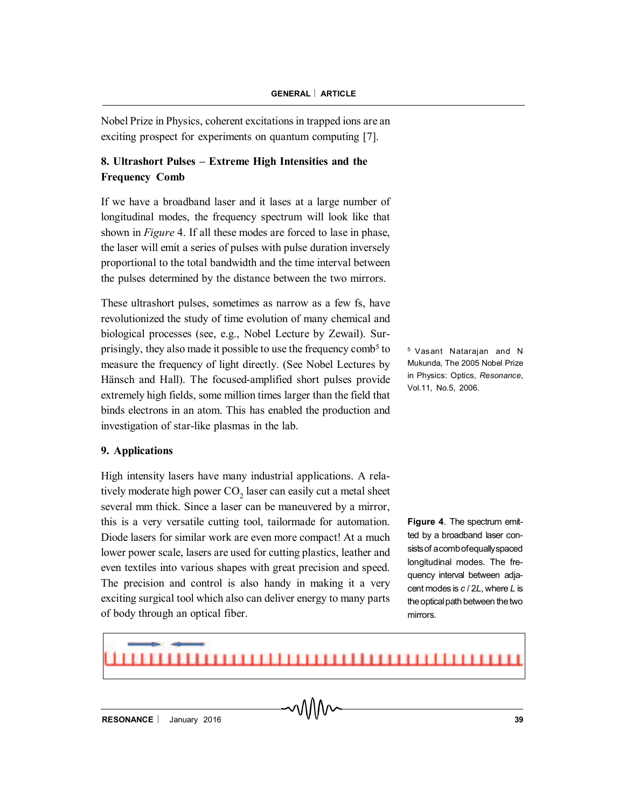Nobel Prize in Physics, coherent excitations in trapped ions are an exciting prospect for experiments on quantum computing [7].

# **8. Ultrashort Pulses – Extreme High Intensities and the Frequency Comb**

If we have a broadband laser and it lases at a large number of longitudinal modes, the frequency spectrum will look like that shown in *Figure* 4. If all these modes are forced to lase in phase, the laser will emit a series of pulses with pulse duration inversely proportional to the total bandwidth and the time interval between the pulses determined by the distance between the two mirrors.

These ultrashort pulses, sometimes as narrow as a few fs, have revolutionized the study of time evolution of many chemical and biological processes (see, e.g., Nobel Lecture by Zewail). Surprisingly, they also made it possible to use the frequency comb<sup>5</sup> to measure the frequency of light directly. (See Nobel Lectures by Hänsch and Hall). The focused-amplified short pulses provide extremely high fields, some million times larger than the field that binds electrons in an atom. This has enabled the production and investigation of star-like plasmas in the lab.

# **9. Applications**

High intensity lasers have many industrial applications. A relatively moderate high power  $\mathrm{CO}_2$  laser can easily cut a metal sheet several mm thick. Since a laser can be maneuvered by a mirror, this is a very versatile cutting tool, tailormade for automation. Diode lasers for similar work are even more compact! At a much lower power scale, lasers are used for cutting plastics, leather and even textiles into various shapes with great precision and speed. The precision and control is also handy in making it a very exciting surgical tool which also can deliver energy to many parts of body through an optical fiber.

<sup>5</sup> Vasant Natarajan and N Mukunda, The 2005 Nobel Prize in Physics: Optics, *Resonance*, Vol.11, No.5, 2006.

**Figure 4.** The spectrum emitted by a broadband laser consistsof acombofequallyspaced longitudinal modes. The frequency interval between adjacent modes is *c* / 2*L*, where *L* is the optical path between the two mirrors.

#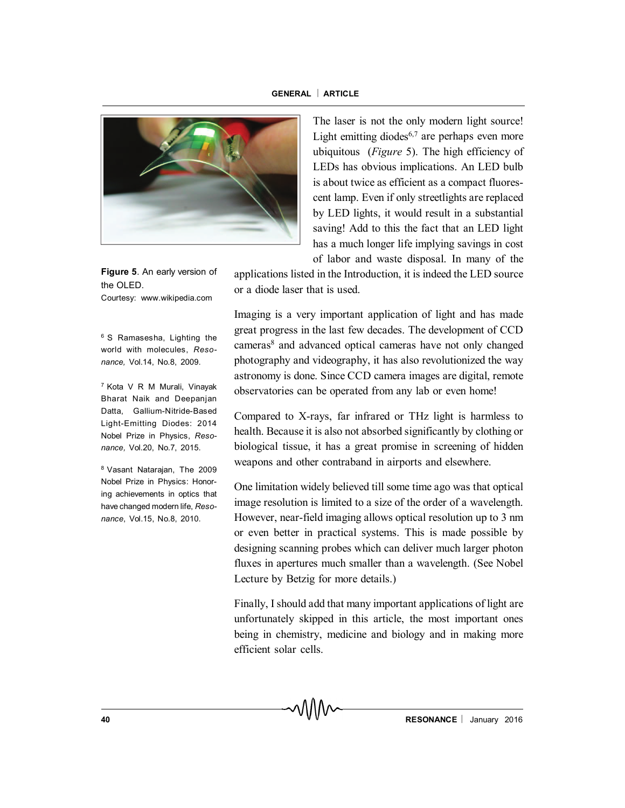

**Figure 5**. An early version of the OLED. Courtesy: www.wikipedia.com

<sup>6</sup> S Ramasesha, Lighting the world with molecules, *Resonance,* Vol.14, No.8, 2009.

<sup>7</sup> Kota V R M Murali, Vinayak Bharat Naik and Deepanjan Datta, Gallium-Nitride-Based Light-Emitting Diodes: 2014 Nobel Prize in Physics, *Resonance,* Vol.20, No.7, 2015.

<sup>8</sup> Vasant Natarajan, The 2009 Nobel Prize in Physics: Honoring achievements in optics that have changed modern life, *Resonance*, Vol.15, No.8, 2010.

The laser is not the only modern light source! Light emitting diodes $6,7$  are perhaps even more ubiquitous (*Figure* 5). The high efficiency of LEDs has obvious implications. An LED bulb is about twice as efficient as a compact fluorescent lamp. Even if only streetlights are replaced by LED lights, it would result in a substantial saving! Add to this the fact that an LED light has a much longer life implying savings in cost of labor and waste disposal. In many of the

applications listed in the Introduction, it is indeed the LED source or a diode laser that is used.

Imaging is a very important application of light and has made great progress in the last few decades. The development of CCD cameras<sup>8</sup> and advanced optical cameras have not only changed photography and videography, it has also revolutionized the way astronomy is done. Since CCD camera images are digital, remote observatories can be operated from any lab or even home!

Compared to X-rays, far infrared or THz light is harmless to health. Because it is also not absorbed significantly by clothing or biological tissue, it has a great promise in screening of hidden weapons and other contraband in airports and elsewhere.

One limitation widely believed till some time ago was that optical image resolution is limited to a size of the order of a wavelength. However, near-field imaging allows optical resolution up to 3 nm or even better in practical systems. This is made possible by designing scanning probes which can deliver much larger photon fluxes in apertures much smaller than a wavelength. (See Nobel Lecture by Betzig for more details.)

Finally, I should add that many important applications of light are unfortunately skipped in this article, the most important ones being in chemistry, medicine and biology and in making more efficient solar cells.